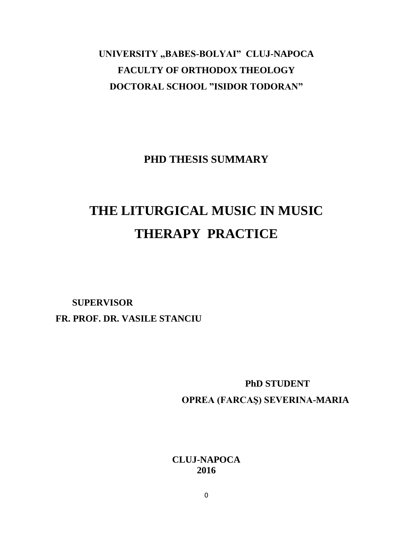# UNIVERSITY "BABES-BOLYAI" CLUJ-NAPOCA **FACULTY OF ORTHODOX THEOLOGY DOCTORAL SCHOOL "ISIDOR TODORAN"**

**PHD THESIS SUMMARY**

# **THE LITURGICAL MUSIC IN MUSIC THERAPY PRACTICE**

### **SUPERVISOR FR. PROF. DR. VASILE STANCIU**

**PhD STUDENT OPREA (FARCAŞ) SEVERINA-MARIA**

**CLUJ-NAPOCA 2016**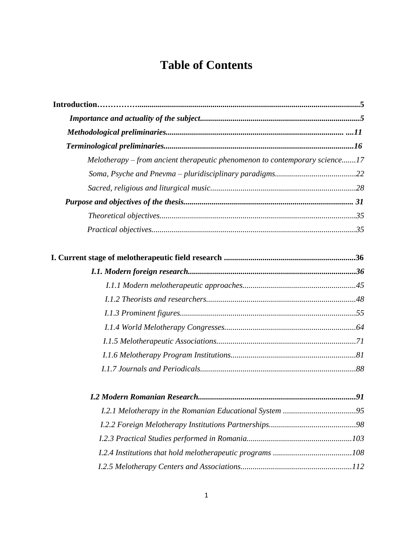## **Table of Contents**

| Melotherapy – from ancient therapeutic phenomenon to contemporary science17 |
|-----------------------------------------------------------------------------|
|                                                                             |
|                                                                             |
|                                                                             |
|                                                                             |
|                                                                             |
|                                                                             |
|                                                                             |
|                                                                             |
|                                                                             |
|                                                                             |
|                                                                             |
|                                                                             |
|                                                                             |
|                                                                             |
|                                                                             |
|                                                                             |
|                                                                             |
|                                                                             |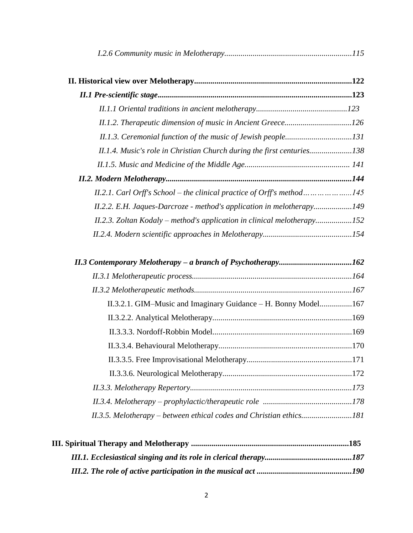| II.1.2. Therapeutic dimension of music in Ancient Greece126             |  |
|-------------------------------------------------------------------------|--|
|                                                                         |  |
| II.1.4. Music's role in Christian Church during the first centuries138  |  |
|                                                                         |  |
|                                                                         |  |
| II.2.1. Carl Orff's School - the clinical practice of Orff's method145  |  |
| II.2.2. E.H. Jaques-Darcroze - method's application in melotherapy149   |  |
| II.2.3. Zoltan Kodaly – method's application in clinical melotherapy152 |  |
|                                                                         |  |
|                                                                         |  |
|                                                                         |  |
|                                                                         |  |
|                                                                         |  |
| II.3.2.1. GIM-Music and Imaginary Guidance - H. Bonny Model167          |  |
|                                                                         |  |
|                                                                         |  |
|                                                                         |  |
|                                                                         |  |
|                                                                         |  |
|                                                                         |  |
|                                                                         |  |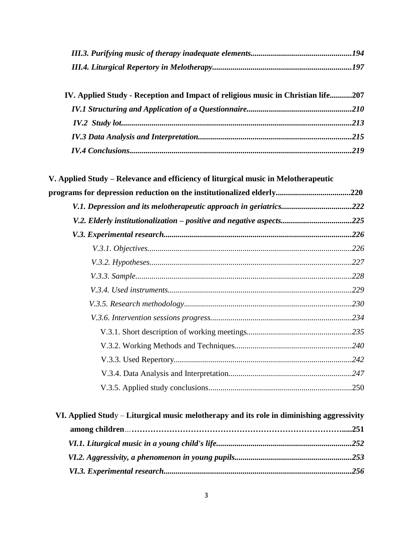| IV. Applied Study - Reception and Impact of religious music in Christian life207 |  |
|----------------------------------------------------------------------------------|--|
|                                                                                  |  |
|                                                                                  |  |
|                                                                                  |  |
|                                                                                  |  |

| V.1. Depression and its melotherapeutic approach in geriatrics222    |  |
|----------------------------------------------------------------------|--|
| V.2. Elderly institutionalization – positive and negative aspects225 |  |
|                                                                      |  |
|                                                                      |  |
|                                                                      |  |
|                                                                      |  |
|                                                                      |  |
|                                                                      |  |
|                                                                      |  |
|                                                                      |  |
|                                                                      |  |
|                                                                      |  |
|                                                                      |  |
|                                                                      |  |

| VI. Applied Study – Liturgical music melotherapy and its role in diminishing aggressivity |  |
|-------------------------------------------------------------------------------------------|--|
|                                                                                           |  |
|                                                                                           |  |
|                                                                                           |  |
|                                                                                           |  |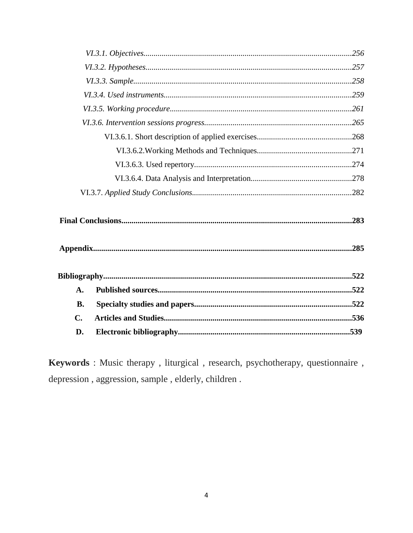| $\mathbf{A}$ . |  |
|----------------|--|
| <b>B.</b>      |  |
| $\mathbf{C}$   |  |
| D.             |  |

Keywords : Music therapy, liturgical, research, psychotherapy, questionnaire, depression, sample, elderly, children.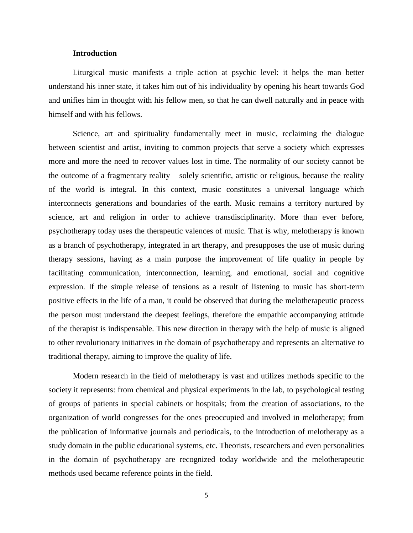#### **Introduction**

Liturgical music manifests a triple action at psychic level: it helps the man better understand his inner state, it takes him out of his individuality by opening his heart towards God and unifies him in thought with his fellow men, so that he can dwell naturally and in peace with himself and with his fellows.

Science, art and spirituality fundamentally meet in music, reclaiming the dialogue between scientist and artist, inviting to common projects that serve a society which expresses more and more the need to recover values lost in time. The normality of our society cannot be the outcome of a fragmentary reality – solely scientific, artistic or religious, because the reality of the world is integral. In this context, music constitutes a universal language which interconnects generations and boundaries of the earth. Music remains a territory nurtured by science, art and religion in order to achieve transdisciplinarity. More than ever before, psychotherapy today uses the therapeutic valences of music. That is why, melotherapy is known as a branch of psychotherapy, integrated in art therapy, and presupposes the use of music during therapy sessions, having as a main purpose the improvement of life quality in people by facilitating communication, interconnection, learning, and emotional, social and cognitive expression. If the simple release of tensions as a result of listening to music has short-term positive effects in the life of a man, it could be observed that during the melotherapeutic process the person must understand the deepest feelings, therefore the empathic accompanying attitude of the therapist is indispensable. This new direction in therapy with the help of music is aligned to other revolutionary initiatives in the domain of psychotherapy and represents an alternative to traditional therapy, aiming to improve the quality of life.

Modern research in the field of melotherapy is vast and utilizes methods specific to the society it represents: from chemical and physical experiments in the lab, to psychological testing of groups of patients in special cabinets or hospitals; from the creation of associations, to the organization of world congresses for the ones preoccupied and involved in melotherapy; from the publication of informative journals and periodicals, to the introduction of melotherapy as a study domain in the public educational systems, etc. Theorists, researchers and even personalities in the domain of psychotherapy are recognized today worldwide and the melotherapeutic methods used became reference points in the field.

5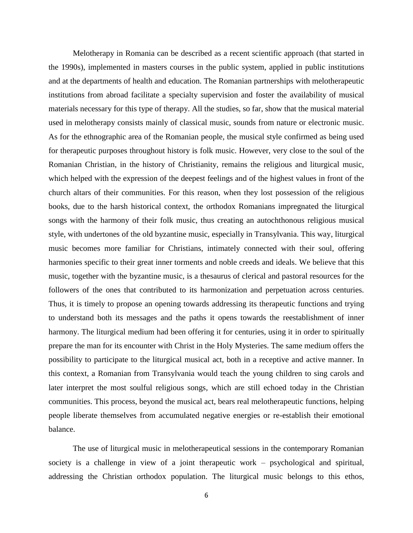Melotherapy in Romania can be described as a recent scientific approach (that started in the 1990s), implemented in masters courses in the public system, applied in public institutions and at the departments of health and education. The Romanian partnerships with melotherapeutic institutions from abroad facilitate a specialty supervision and foster the availability of musical materials necessary for this type of therapy. All the studies, so far, show that the musical material used in melotherapy consists mainly of classical music, sounds from nature or electronic music. As for the ethnographic area of the Romanian people, the musical style confirmed as being used for therapeutic purposes throughout history is folk music. However, very close to the soul of the Romanian Christian, in the history of Christianity, remains the religious and liturgical music, which helped with the expression of the deepest feelings and of the highest values in front of the church altars of their communities. For this reason, when they lost possession of the religious books, due to the harsh historical context, the orthodox Romanians impregnated the liturgical songs with the harmony of their folk music, thus creating an autochthonous religious musical style, with undertones of the old byzantine music, especially in Transylvania. This way, liturgical music becomes more familiar for Christians, intimately connected with their soul, offering harmonies specific to their great inner torments and noble creeds and ideals. We believe that this music, together with the byzantine music, is a thesaurus of clerical and pastoral resources for the followers of the ones that contributed to its harmonization and perpetuation across centuries. Thus, it is timely to propose an opening towards addressing its therapeutic functions and trying to understand both its messages and the paths it opens towards the reestablishment of inner harmony. The liturgical medium had been offering it for centuries, using it in order to spiritually prepare the man for its encounter with Christ in the Holy Mysteries. The same medium offers the possibility to participate to the liturgical musical act, both in a receptive and active manner. In this context, a Romanian from Transylvania would teach the young children to sing carols and later interpret the most soulful religious songs, which are still echoed today in the Christian communities. This process, beyond the musical act, bears real melotherapeutic functions, helping people liberate themselves from accumulated negative energies or re-establish their emotional balance.

The use of liturgical music in melotherapeutical sessions in the contemporary Romanian society is a challenge in view of a joint therapeutic work – psychological and spiritual, addressing the Christian orthodox population. The liturgical music belongs to this ethos,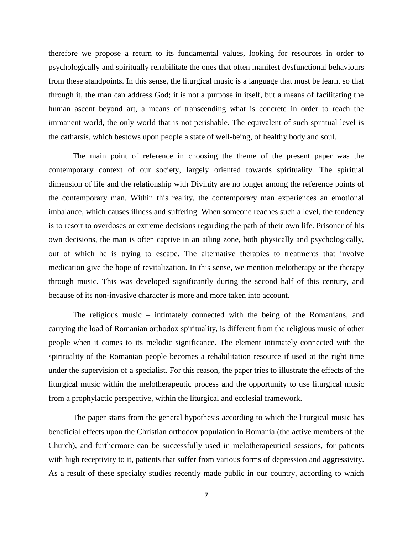therefore we propose a return to its fundamental values, looking for resources in order to psychologically and spiritually rehabilitate the ones that often manifest dysfunctional behaviours from these standpoints. In this sense, the liturgical music is a language that must be learnt so that through it, the man can address God; it is not a purpose in itself, but a means of facilitating the human ascent beyond art, a means of transcending what is concrete in order to reach the immanent world, the only world that is not perishable. The equivalent of such spiritual level is the catharsis, which bestows upon people a state of well-being, of healthy body and soul.

The main point of reference in choosing the theme of the present paper was the contemporary context of our society, largely oriented towards spirituality. The spiritual dimension of life and the relationship with Divinity are no longer among the reference points of the contemporary man. Within this reality, the contemporary man experiences an emotional imbalance, which causes illness and suffering. When someone reaches such a level, the tendency is to resort to overdoses or extreme decisions regarding the path of their own life. Prisoner of his own decisions, the man is often captive in an ailing zone, both physically and psychologically, out of which he is trying to escape. The alternative therapies to treatments that involve medication give the hope of revitalization. In this sense, we mention melotherapy or the therapy through music. This was developed significantly during the second half of this century, and because of its non-invasive character is more and more taken into account.

The religious music – intimately connected with the being of the Romanians, and carrying the load of Romanian orthodox spirituality, is different from the religious music of other people when it comes to its melodic significance. The element intimately connected with the spirituality of the Romanian people becomes a rehabilitation resource if used at the right time under the supervision of a specialist. For this reason, the paper tries to illustrate the effects of the liturgical music within the melotherapeutic process and the opportunity to use liturgical music from a prophylactic perspective, within the liturgical and ecclesial framework.

The paper starts from the general hypothesis according to which the liturgical music has beneficial effects upon the Christian orthodox population in Romania (the active members of the Church), and furthermore can be successfully used in melotherapeutical sessions, for patients with high receptivity to it, patients that suffer from various forms of depression and aggressivity. As a result of these specialty studies recently made public in our country, according to which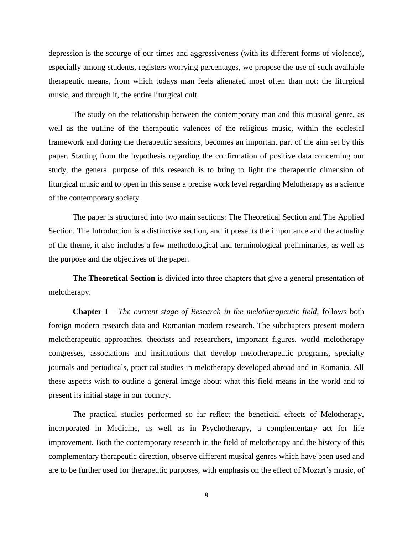depression is the scourge of our times and aggressiveness (with its different forms of violence), especially among students, registers worrying percentages, we propose the use of such available therapeutic means, from which todays man feels alienated most often than not: the liturgical music, and through it, the entire liturgical cult.

The study on the relationship between the contemporary man and this musical genre, as well as the outline of the therapeutic valences of the religious music, within the ecclesial framework and during the therapeutic sessions, becomes an important part of the aim set by this paper. Starting from the hypothesis regarding the confirmation of positive data concerning our study, the general purpose of this research is to bring to light the therapeutic dimension of liturgical music and to open in this sense a precise work level regarding Melotherapy as a science of the contemporary society.

The paper is structured into two main sections: The Theoretical Section and The Applied Section. The Introduction is a distinctive section, and it presents the importance and the actuality of the theme, it also includes a few methodological and terminological preliminaries, as well as the purpose and the objectives of the paper.

**The Theoretical Section** is divided into three chapters that give a general presentation of melotherapy.

**Chapter I** – *The current stage of Research in the melotherapeutic field,* follows both foreign modern research data and Romanian modern research. The subchapters present modern melotherapeutic approaches, theorists and researchers, important figures, world melotherapy congresses, associations and insititutions that develop melotherapeutic programs, specialty journals and periodicals, practical studies in melotherapy developed abroad and in Romania. All these aspects wish to outline a general image about what this field means in the world and to present its initial stage in our country.

The practical studies performed so far reflect the beneficial effects of Melotherapy, incorporated in Medicine, as well as in Psychotherapy, a complementary act for life improvement. Both the contemporary research in the field of melotherapy and the history of this complementary therapeutic direction, observe different musical genres which have been used and are to be further used for therapeutic purposes, with emphasis on the effect of Mozart's music, of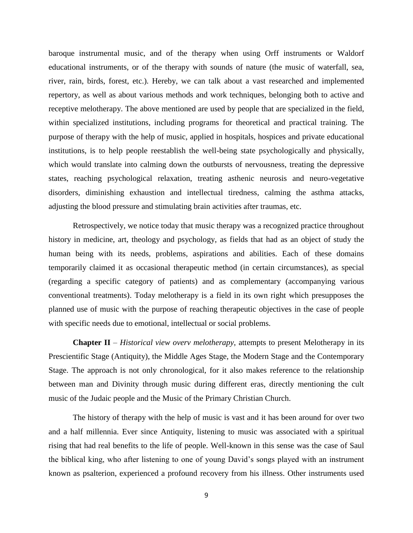baroque instrumental music, and of the therapy when using Orff instruments or Waldorf educational instruments, or of the therapy with sounds of nature (the music of waterfall, sea, river, rain, birds, forest, etc.). Hereby, we can talk about a vast researched and implemented repertory, as well as about various methods and work techniques, belonging both to active and receptive melotherapy. The above mentioned are used by people that are specialized in the field, within specialized institutions, including programs for theoretical and practical training. The purpose of therapy with the help of music, applied in hospitals, hospices and private educational institutions, is to help people reestablish the well-being state psychologically and physically, which would translate into calming down the outbursts of nervousness, treating the depressive states, reaching psychological relaxation, treating asthenic neurosis and neuro-vegetative disorders, diminishing exhaustion and intellectual tiredness, calming the asthma attacks, adjusting the blood pressure and stimulating brain activities after traumas, etc.

Retrospectively, we notice today that music therapy was a recognized practice throughout history in medicine, art, theology and psychology, as fields that had as an object of study the human being with its needs, problems, aspirations and abilities. Each of these domains temporarily claimed it as occasional therapeutic method (in certain circumstances), as special (regarding a specific category of patients) and as complementary (accompanying various conventional treatments). Today melotherapy is a field in its own right which presupposes the planned use of music with the purpose of reaching therapeutic objectives in the case of people with specific needs due to emotional, intellectual or social problems.

**Chapter II** – *Historical view overv melotherapy*, attempts to present Melotherapy in its Prescientific Stage (Antiquity), the Middle Ages Stage, the Modern Stage and the Contemporary Stage. The approach is not only chronological, for it also makes reference to the relationship between man and Divinity through music during different eras, directly mentioning the cult music of the Judaic people and the Music of the Primary Christian Church.

The history of therapy with the help of music is vast and it has been around for over two and a half millennia. Ever since Antiquity, listening to music was associated with a spiritual rising that had real benefits to the life of people. Well-known in this sense was the case of Saul the biblical king, who after listening to one of young David's songs played with an instrument known as psalterion, experienced a profound recovery from his illness. Other instruments used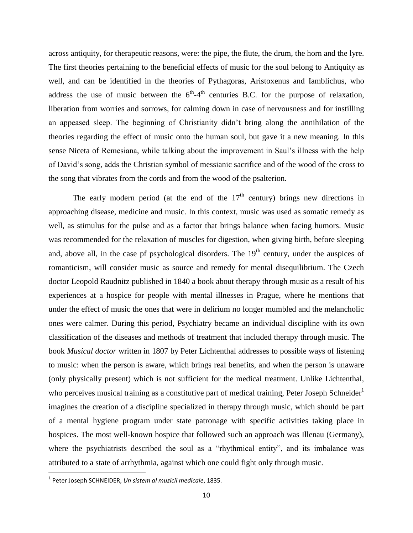across antiquity, for therapeutic reasons, were: the pipe, the flute, the drum, the horn and the lyre. The first theories pertaining to the beneficial effects of music for the soul belong to Antiquity as well, and can be identified in the theories of Pythagoras, Aristoxenus and Iamblichus, who address the use of music between the  $6<sup>th</sup>-4<sup>th</sup>$  centuries B.C. for the purpose of relaxation, liberation from worries and sorrows, for calming down in case of nervousness and for instilling an appeased sleep. The beginning of Christianity didn't bring along the annihilation of the theories regarding the effect of music onto the human soul, but gave it a new meaning. In this sense Niceta of Remesiana, while talking about the improvement in Saul's illness with the help of David's song, adds the Christian symbol of messianic sacrifice and of the wood of the cross to the song that vibrates from the cords and from the wood of the psalterion.

The early modern period (at the end of the  $17<sup>th</sup>$  century) brings new directions in approaching disease, medicine and music. In this context, music was used as somatic remedy as well, as stimulus for the pulse and as a factor that brings balance when facing humors. Music was recommended for the relaxation of muscles for digestion, when giving birth, before sleeping and, above all, in the case pf psychological disorders. The  $19<sup>th</sup>$  century, under the auspices of romanticism, will consider music as source and remedy for mental disequilibrium. The Czech doctor Leopold Raudnitz published in 1840 a book about therapy through music as a result of his experiences at a hospice for people with mental illnesses in Prague, where he mentions that under the effect of music the ones that were in delirium no longer mumbled and the melancholic ones were calmer. During this period, Psychiatry became an individual discipline with its own classification of the diseases and methods of treatment that included therapy through music. The book *Musical doctor* written in 1807 by Peter Lichtenthal addresses to possible ways of listening to music: when the person is aware, which brings real benefits, and when the person is unaware (only physically present) which is not sufficient for the medical treatment. Unlike Lichtenthal, who perceives musical training as a constitutive part of medical training, Peter Joseph Schneider<sup>1</sup> imagines the creation of a discipline specialized in therapy through music, which should be part of a mental hygiene program under state patronage with specific activities taking place in hospices. The most well-known hospice that followed such an approach was Illenau (Germany), where the psychiatrists described the soul as a "rhythmical entity", and its imbalance was attributed to a state of arrhythmia, against which one could fight only through music.

 $\overline{\phantom{a}}$ 

<sup>1</sup> Peter Joseph SCHNEIDER, *Un sistem al muzicii medicale*, 1835.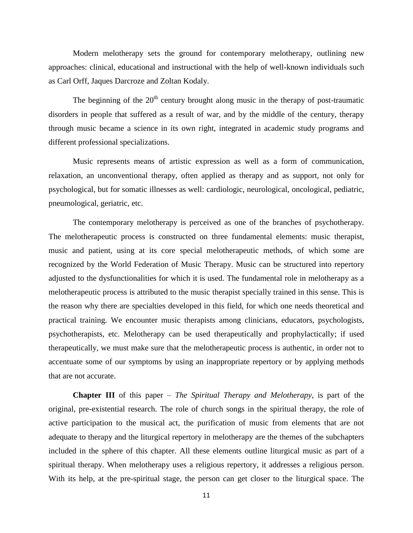Modern melotherapy sets the ground for contemporary melotherapy, outlining new approaches: clinical, educational and instructional with the help of well-known individuals such as Carl Orff, Jaques Darcroze and Zoltan Kodaly.

The beginning of the  $20<sup>th</sup>$  century brought along music in the therapy of post-traumatic disorders in people that suffered as a result of war, and by the middle of the century, therapy through music became a science in its own right, integrated in academic study programs and different professional specializations.

Music represents means of artistic expression as well as a form of communication, relaxation, an unconventional therapy, often applied as therapy and as support, not only for psychological, but for somatic illnesses as well: cardiologic, neurological, oncological, pediatric, pneumological, geriatric, etc.

The contemporary melotherapy is perceived as one of the branches of psychotherapy. The melotherapeutic process is constructed on three fundamental elements: music therapist, music and patient, using at its core special melotherapeutic methods, of which some are recognized by the World Federation of Music Therapy. Music can be structured into repertory adjusted to the dysfunctionalities for which it is used. The fundamental role in melotherapy as a melotherapeutic process is attributed to the music therapist specially trained in this sense. This is the reason why there are specialties developed in this field, for which one needs theoretical and practical training. We encounter music therapists among clinicians, educators, psychologists, psychotherapists, etc. Melotherapy can be used therapeutically and prophylactically; if used therapeutically, we must make sure that the melotherapeutic process is authentic, in order not to accentuate some of our symptoms by using an inappropriate repertory or by applying methods that are not accurate.

**Chapter III** of this paper – *The Spiritual Therapy and Melotherapy*, is part of the original, pre-existential research. The role of church songs in the spiritual therapy, the role of active participation to the musical act, the purification of music from elements that are not adequate to therapy and the liturgical repertory in melotherapy are the themes of the subchapters included in the sphere of this chapter. All these elements outline liturgical music as part of a spiritual therapy. When melotherapy uses a religious repertory, it addresses a religious person. With its help, at the pre-spiritual stage, the person can get closer to the liturgical space. The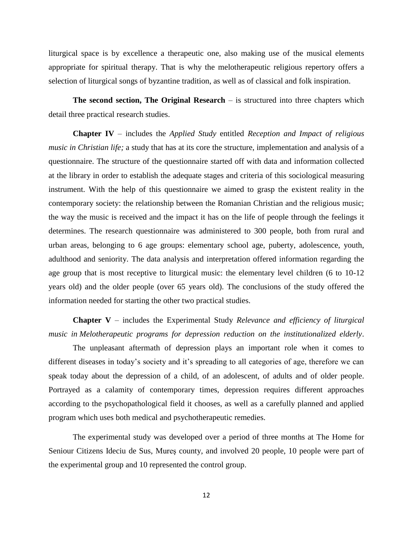liturgical space is by excellence a therapeutic one, also making use of the musical elements appropriate for spiritual therapy. That is why the melotherapeutic religious repertory offers a selection of liturgical songs of byzantine tradition, as well as of classical and folk inspiration.

**The second section, The Original Research** – is structured into three chapters which detail three practical research studies.

**Chapter IV** – includes the *Applied Study* entitled *Reception and Impact of religious music in Christian life;* a study that has at its core the structure, implementation and analysis of a questionnaire. The structure of the questionnaire started off with data and information collected at the library in order to establish the adequate stages and criteria of this sociological measuring instrument. With the help of this questionnaire we aimed to grasp the existent reality in the contemporary society: the relationship between the Romanian Christian and the religious music; the way the music is received and the impact it has on the life of people through the feelings it determines. The research questionnaire was administered to 300 people, both from rural and urban areas, belonging to 6 age groups: elementary school age, puberty, adolescence, youth, adulthood and seniority. The data analysis and interpretation offered information regarding the age group that is most receptive to liturgical music: the elementary level children (6 to 10-12 years old) and the older people (over 65 years old). The conclusions of the study offered the information needed for starting the other two practical studies.

**Chapter V** – includes the Experimental Study *Relevance and efficiency of liturgical music in Melotherapeutic programs for depression reduction on the institutionalized elderly*.

The unpleasant aftermath of depression plays an important role when it comes to different diseases in today's society and it's spreading to all categories of age, therefore we can speak today about the depression of a child, of an adolescent, of adults and of older people. Portrayed as a calamity of contemporary times, depression requires different approaches according to the psychopathological field it chooses, as well as a carefully planned and applied program which uses both medical and psychotherapeutic remedies.

The experimental study was developed over a period of three months at The Home for Seniour Citizens Ideciu de Sus, Mureş county, and involved 20 people, 10 people were part of the experimental group and 10 represented the control group.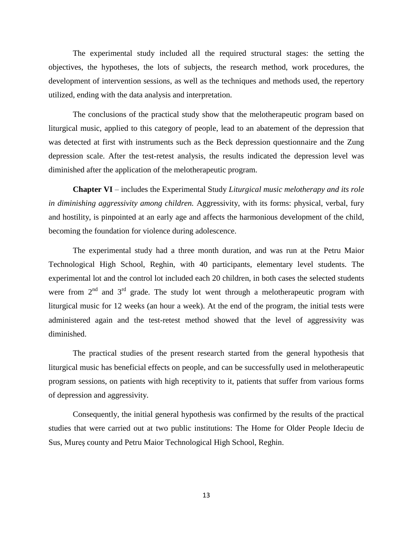The experimental study included all the required structural stages: the setting the objectives, the hypotheses, the lots of subjects, the research method, work procedures, the development of intervention sessions, as well as the techniques and methods used, the repertory utilized, ending with the data analysis and interpretation.

The conclusions of the practical study show that the melotherapeutic program based on liturgical music, applied to this category of people, lead to an abatement of the depression that was detected at first with instruments such as the Beck depression questionnaire and the Zung depression scale. After the test-retest analysis, the results indicated the depression level was diminished after the application of the melotherapeutic program.

**Chapter VI** – includes the Experimental Study *Liturgical music melotherapy and its role in diminishing aggressivity among children.* Aggressivity, with its forms: physical, verbal, fury and hostility, is pinpointed at an early age and affects the harmonious development of the child, becoming the foundation for violence during adolescence.

The experimental study had a three month duration, and was run at the Petru Maior Technological High School, Reghin, with 40 participants, elementary level students. The experimental lot and the control lot included each 20 children, in both cases the selected students were from  $2<sup>nd</sup>$  and  $3<sup>rd</sup>$  grade. The study lot went through a melotherapeutic program with liturgical music for 12 weeks (an hour a week). At the end of the program, the initial tests were administered again and the test-retest method showed that the level of aggressivity was diminished.

The practical studies of the present research started from the general hypothesis that liturgical music has beneficial effects on people, and can be successfully used in melotherapeutic program sessions, on patients with high receptivity to it, patients that suffer from various forms of depression and aggressivity.

Consequently, the initial general hypothesis was confirmed by the results of the practical studies that were carried out at two public institutions: The Home for Older People Ideciu de Sus, Mureş county and Petru Maior Technological High School, Reghin.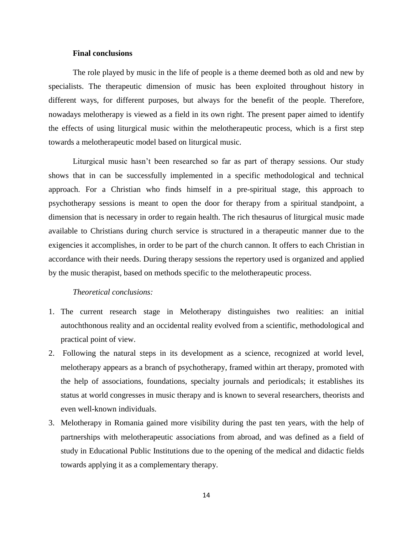#### **Final conclusions**

The role played by music in the life of people is a theme deemed both as old and new by specialists. The therapeutic dimension of music has been exploited throughout history in different ways, for different purposes, but always for the benefit of the people. Therefore, nowadays melotherapy is viewed as a field in its own right. The present paper aimed to identify the effects of using liturgical music within the melotherapeutic process, which is a first step towards a melotherapeutic model based on liturgical music.

Liturgical music hasn't been researched so far as part of therapy sessions. Our study shows that in can be successfully implemented in a specific methodological and technical approach. For a Christian who finds himself in a pre-spiritual stage, this approach to psychotherapy sessions is meant to open the door for therapy from a spiritual standpoint, a dimension that is necessary in order to regain health. The rich thesaurus of liturgical music made available to Christians during church service is structured in a therapeutic manner due to the exigencies it accomplishes, in order to be part of the church cannon. It offers to each Christian in accordance with their needs. During therapy sessions the repertory used is organized and applied by the music therapist, based on methods specific to the melotherapeutic process.

#### *Theoretical conclusions:*

- 1. The current research stage in Melotherapy distinguishes two realities: an initial autochthonous reality and an occidental reality evolved from a scientific, methodological and practical point of view.
- 2. Following the natural steps in its development as a science, recognized at world level, melotherapy appears as a branch of psychotherapy, framed within art therapy, promoted with the help of associations, foundations, specialty journals and periodicals; it establishes its status at world congresses in music therapy and is known to several researchers, theorists and even well-known individuals.
- 3. Melotherapy in Romania gained more visibility during the past ten years, with the help of partnerships with melotherapeutic associations from abroad, and was defined as a field of study in Educational Public Institutions due to the opening of the medical and didactic fields towards applying it as a complementary therapy.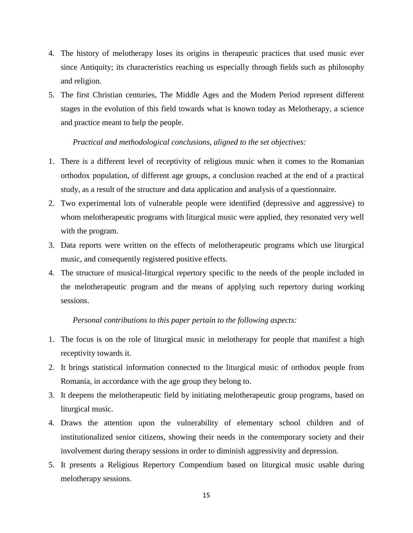- 4. The history of melotherapy loses its origins in therapeutic practices that used music ever since Antiquity; its characteristics reaching us especially through fields such as philosophy and religion.
- 5. The first Christian centuries, The Middle Ages and the Modern Period represent different stages in the evolution of this field towards what is known today as Melotherapy, a science and practice meant to help the people.

#### *Practical and methodological conclusions, aligned to the set objectives:*

- 1. There is a different level of receptivity of religious music when it comes to the Romanian orthodox population, of different age groups, a conclusion reached at the end of a practical study, as a result of the structure and data application and analysis of a questionnaire.
- 2. Two experimental lots of vulnerable people were identified (depressive and aggressive) to whom melotherapeutic programs with liturgical music were applied, they resonated very well with the program.
- 3. Data reports were written on the effects of melotherapeutic programs which use liturgical music, and consequently registered positive effects.
- 4. The structure of musical-liturgical repertory specific to the needs of the people included in the melotherapeutic program and the means of applying such repertory during working sessions.

*Personal contributions to this paper pertain to the following aspects:*

- 1. The focus is on the role of liturgical music in melotherapy for people that manifest a high receptivity towards it.
- 2. It brings statistical information connected to the liturgical music of orthodox people from Romania, in accordance with the age group they belong to.
- 3. It deepens the melotherapeutic field by initiating melotherapeutic group programs, based on liturgical music.
- 4. Draws the attention upon the vulnerability of elementary school children and of institutionalized senior citizens, showing their needs in the contemporary society and their involvement during therapy sessions in order to diminish aggressivity and depression.
- 5. It presents a Religious Repertory Compendium based on liturgical music usable during melotherapy sessions.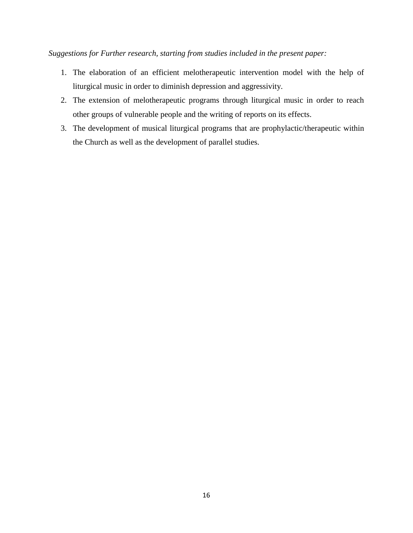*Suggestions for Further research, starting from studies included in the present paper:*

- 1. The elaboration of an efficient melotherapeutic intervention model with the help of liturgical music in order to diminish depression and aggressivity.
- 2. The extension of melotherapeutic programs through liturgical music in order to reach other groups of vulnerable people and the writing of reports on its effects.
- 3. The development of musical liturgical programs that are prophylactic/therapeutic within the Church as well as the development of parallel studies.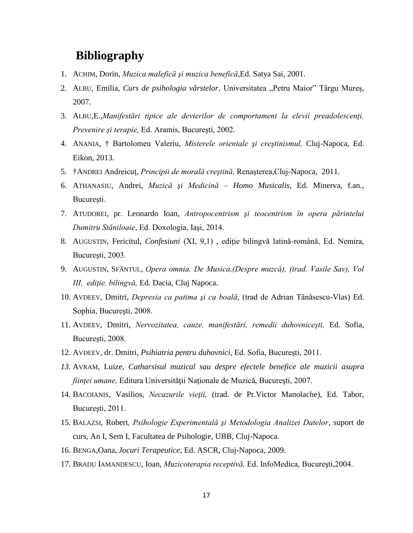### **Bibliography**

- 1. ACHIM, Dorin, *Muzica malefică şi muzica benefică*,Ed. Satya Sai, 2001.
- 2. ALBU, Emilia, *Curs de psihologia vârstelor*, Universitatea "Petru Maior" Târgu Mureș, 2007.
- 3. ALBU,E.,*Manifestări tipice ale devierilor de comportament la elevii preadolescenţi. Prevenire şi terapie,* Ed. Aramis, Bucureşti, 2002.
- 4. ANANIA, † Bartolomeu Valeriu, *Misterele orientale şi creştinismul,* Cluj-Napoca, Ed. Eikon, 2013.
- 5. †ANDREI Andreicuţ, *Principii de morală creştină,* Renaşterea,Cluj-Napoca, 2011.
- 6. ATHANASIU, Andrei, *Muzică şi Medicină – Homo Musicalis*, Ed. Minerva, f.an., Bucureşti.
- 7. ATUDOREI, pr. Leonardo Ioan, *Antropocentrism şi teocentrism în opera părintelui Dumitru Stăniloaie*, Ed. Doxologia, Iaşi, 2014.
- 8. AUGUSTIN, Fericitul, *Confesiuni* (XI, 9,1), editie bilingvă latină-română, Ed. Nemira, Bucureşti, 2003.
- 9. AUGUSTIN, SFÂNTUL, *Opera omnia. De Musica,(Despre muzcă), (trad. Vasile Sav), Vol III, ediţie. bilingvă,* Ed. Dacia, Cluj Napoca.
- 10. AVDEEV, Dmitri, *Depresia ca patima şi ca boală*, (trad de Adrian Tănăsescu-Vlas) Ed. Sophia, Bucureşti, 2008.
- 11. AVDEEV, Dmitri, *Nervozitatea, cauze, manifestări, remedii duhovniceşti,* Ed. Sofia, Bucureşti, 2008.
- 12. AVDEEV, dr. Dmitri, *Psihiatria pentru duhovnici,* Ed. Sofia, Bucureşti, 2011.
- *13.* AVRAM, Luize, *Catharsisul muzical sau despre efectele benefice ale muzicii asupra fiinţei umane,* Editura Universităţii Naţionale de Muzică, Bucureşti, 2007.
- 14. BACOIANIS, Vasilios, *Necazurile vieţii,* (trad. de Pr.Victor Manolache), Ed. Tabor, Bucureşti, 2011.
- 15. BALAZSI, Robert*, Psihologie Experimentală şi Metodologia Analizei Datelor*, suport de curs, An I, Sem I, Facultatea de Psihologie, UBB, Cluj-Napoca.
- 16. BENGA,Oana, *Jocuri Terapeutice*, Ed. ASCR, Cluj-Napoca, 2009.
- 17. BRADU IAMANDESCU, Ioan, *Muzicoterapia receptivă,* Ed. InfoMedica, Bucureşti,2004.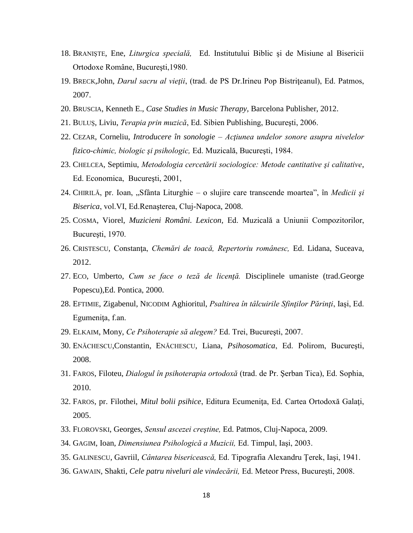- 18. BRANIŞTE, Ene, *Liturgica specială,* Ed. Institutului Biblic şi de Misiune al Bisericii Ortodoxe Române, Bucureşti,1980.
- 19. BRECK,John, *Darul sacru al vieţii*, (trad. de PS Dr.Irineu Pop Bistriţeanul), Ed. Patmos, 2007.
- 20. BRUSCIA, Kenneth E., *Case Studies in Music Therapy,* Barcelona Publisher, 2012.
- 21. BULUŞ, Liviu, *Terapia prin muzică*, Ed. Sibien Publishing, Bucureşti, 2006.
- 22. CEZAR, Corneliu, *Introducere în sonologie – Acţiunea undelor sonore asupra nivelelor fizico-chimic, biologic şi psihologic,* Ed. Muzicală, Bucureşti, 1984.
- 23. CHELCEA, Septimiu, *Metodologia cercetării sociologice: Metode cantitative şi calitative*, Ed. Economica, Bucureşti, 2001,
- 24. CHIRILĂ, pr. Ioan, "Sfânta Liturghie o slujire care transcende moartea", în *Medicii şi Biserica*, vol.VI, Ed.Renaşterea, Cluj-Napoca, 2008.
- 25. COSMA, Viorel, *Muzicieni Români. Lexicon,* Ed. Muzicală a Uniunii Compozitorilor, Bucureşti, 1970.
- 26. CRISTESCU, Constanţa, *Chemări de toacă, Repertoriu românesc,* Ed. Lidana, Suceava, 2012.
- 27. ECO, Umberto, *Cum se face o teză de licenţă.* Disciplinele umaniste (trad.George Popescu),Ed. Pontica, 2000.
- 28. EFTIMIE, Zigabenul, NICODIM Aghioritul, *Psaltirea în tâlcuirile Sfinţilor Părinţi*, Iaşi, Ed. Egumeniţa, f.an.
- 29. ELKAIM, Mony, *Ce Psihoterapie să alegem?* Ed. Trei, Bucureşti, 2007.
- 30. ENĂCHESCU,Constantin, ENĂCHESCU, Liana, *Psihosomatica*, Ed. Polirom, Bucureşti, 2008.
- 31. FAROS, Filoteu, *Dialogul în psihoterapia ortodoxă* (trad. de Pr. Şerban Tica), Ed. Sophia, 2010.
- 32. FAROS, pr. Filothei, *Mitul bolii psihice*, Editura Ecumeniţa, Ed. Cartea Ortodoxă Galaţi, 2005.
- 33. FLOROVSKI, Georges, *Sensul ascezei creştine,* Ed. Patmos, Cluj-Napoca, 2009.
- 34. GAGIM, Ioan, *Dimensiunea Psihologică a Muzicii,* Ed. Timpul, Iaşi, 2003.
- 35. GALINESCU, Gavriil, *Cântarea bisericească,* Ed. Tipografia Alexandru Ţerek, Iaşi, 1941.
- 36. GAWAIN, Shakti, *Cele patru niveluri ale vindecării,* Ed. Meteor Press, Bucureşti, 2008.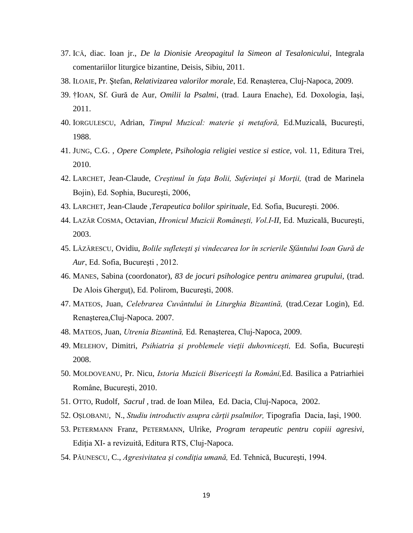- 37. ICĂ, diac. Ioan jr., *De la Dionisie Areopagitul la Simeon al Tesalonicului*, Integrala comentariilor liturgice bizantine, Deisis, Sibiu, 2011.
- 38. ILOAIE, Pr. Ştefan, *Relativizarea valorilor morale*, Ed. Renaşterea, Cluj-Napoca, 2009.
- 39. †IOAN, Sf. Gură de Aur, *Omilii la Psalmi*, (trad. Laura Enache), Ed. Doxologia, Iaşi, 2011.
- 40. IORGULESCU, Adrian, *Timpul Muzical: materie şi metaforă,* Ed.Muzicală, Bucureşti, 1988.
- 41. JUNG, C.G. , *Opere Complete, Psihologia religiei vestice si estice,* vol. 11, Editura Trei, 2010.
- 42. LARCHET, Jean-Claude, *Creştinul în faţa Bolii, Suferinţei şi Morţii,* (trad de Marinela Bojin), Ed. Sophia, Bucureşti, 2006,
- 43. LARCHET, Jean-Claude ,*Terapeutica bolilor spirituale*, Ed. Sofia, Bucureşti. 2006.
- 44. LAZĂR COSMA, Octavian, *Hronicul Muzicii Româneşti, Vol.I-II,* Ed. Muzicală, Bucureşti, 2003.
- 45. LĂZĂRESCU, Ovidiu, *Bolile sufleteşti şi vindecarea lor în scrierile Sfântului Ioan Gură de Aur*, Ed. Sofia, Bucureşti , 2012.
- 46. MANES, Sabina (coordonator), *83 de jocuri psihologice pentru animarea grupului,* (trad. De Alois Gherguţ), Ed. Polirom, Bucureşti, 2008.
- 47. MATEOS, Juan, *Celebrarea Cuvântului în Liturghia Bizantină,* (trad.Cezar Login), Ed. Renaşterea,Cluj-Napoca. 2007.
- 48. MATEOS, Juan, *Utrenia Bizantină,* Ed. Renaşterea, Cluj-Napoca, 2009.
- 49. MELEHOV, Dimitri, *Psihiatria şi problemele vieţii duhovniceşti,* Ed. Sofia, Bucureşti 2008.
- 50. MOLDOVEANU, Pr. Nicu, *Istoria Muzicii Bisericeşti la Români,*Ed. Basilica a Patriarhiei Române, Bucureşti, 2010.
- 51. OTTO, Rudolf, *Sacrul ,* trad. de Ioan Milea, Ed. Dacia, Cluj-Napoca, 2002.
- 52. OŞLOBANU, N., *Studiu introductiv asupra cărţii psalmilor,* Tipografia Dacia, Iaşi, 1900.
- 53. PETERMANN Franz, PETERMANN, Ulrike, *Program terapeutic pentru copiii agresivi,*  Ediţia XI- a revizuită, Editura RTS, Cluj-Napoca.
- 54. PĂUNESCU, C., *Agresivitatea şi condiţia umană,* Ed. Tehnică, Bucureşti, 1994.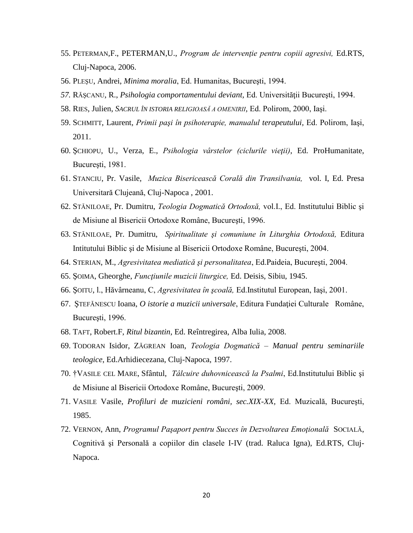- 55. PETERMAN,F., PETERMAN,U., *Program de intervenţie pentru copiii agresivi,* Ed.RTS, Cluj-Napoca, 2006.
- 56. PLEŞU, Andrei, *Minima moralia*, Ed. Humanitas, Bucureşti, 1994.
- *57.* RĂŞCANU, R., *Psihologia comportamentului deviant,* Ed. Universităţii Bucureşti, 1994.
- 58. RIES, Julien, *SACRUL ÎN ISTORIA RELIGIOASĂ A OMENIRII,* Ed. Polirom, 2000, Iaşi.
- 59. SCHMITT, Laurent, *Primii paşi în psihoterapie, manualul terapeutului,* Ed. Polirom, Iaşi, 2011.
- 60. ŞCHIOPU, U., Verza, E., *Psihologia vârstelor (ciclurile vieţii)*, Ed. ProHumanitate, București, 1981.
- 61. STANCIU, Pr. Vasile, *Muzica Bisericească Corală din Transilvania,* vol. I, Ed. Presa Universitară Clujeană, Cluj-Napoca , 2001.
- 62. STĂNILOAE, Pr. Dumitru, *Teologia Dogmatică Ortodoxă,* vol.I., Ed. Institutului Biblic şi de Misiune al Bisericii Ortodoxe Române, Bucureşti, 1996.
- 63. STĂNILOAE, Pr. Dumitru, *Spiritualitate şi comuniune în Liturghia Ortodoxă,* Editura Intitutului Biblic şi de Misiune al Bisericii Ortodoxe Române, Bucureşti, 2004.
- 64. STERIAN, M., *Agresivitatea mediatică şi personalitatea*, Ed.Paideia, Bucureşti, 2004.
- 65. ŞOIMA, Gheorghe, *Funcţiunile muzicii liturgice,* Ed. Deisis, Sibiu, 1945.
- 66. ŞOITU, l., Hăvârneanu, C, *Agresivitatea în şcoală,* Ed.Institutul European, Iaşi, 2001.
- 67. ŞTEFĂNESCU Ioana, *O istorie a muzicii universale*, Editura Fundaţiei Culturale Române, Bucureşti, 1996.
- 68. TAFT, Robert.F, *Ritul bizantin*, Ed. Reîntregirea, Alba Iulia, 2008.
- 69. TODORAN Isidor, ZĂGREAN Ioan, *Teologia Dogmatică – Manual pentru seminariile teologice*, Ed.Arhidiecezana, Cluj-Napoca, 1997.
- 70. †VASILE CEL MARE, Sfântul, *Tâlcuire duhovnicească la Psalmi*, Ed.Institutului Biblic şi de Misiune al Bisericii Ortodoxe Române, Bucureşti, 2009.
- 71. VASILE Vasile, *Profiluri de muzicieni români, sec.XIX-XX,* Ed. Muzicală, Bucureşti, 1985.
- 72. VERNON, Ann, *Programul Paşaport pentru Succes în Dezvoltarea Emoţională* SOCIALĂ, Cognitivă şi Personală a copiilor din clasele I-IV (trad. Raluca Igna), Ed.RTS, Cluj-Napoca.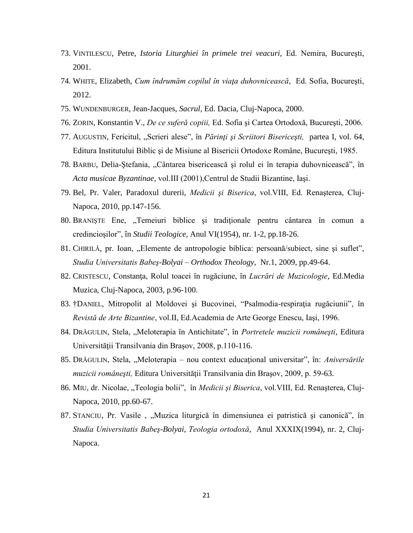- 73. VINTILESCU, Petre, *Istoria Liturghiei în primele trei veacuri,* Ed. Nemira, Bucureşti, 2001.
- 74. WHITE, Elizabeth, *Cum îndrumăm copilul în viaţa duhovnicească*, Ed. Sofia, Bucureşti, 2012.
- 75. WUNDENBURGER, Jean-Jacques, *Sacrul*, Ed. Dacia, Cluj-Napoca, 2000.
- 76. ZORIN, Konstantin V., *De ce suferă copiii,* Ed. Sofia şi Cartea Ortodoxă, Bucureşti, 2006.
- 77. AUGUSTIN, Fericitul, "Scrieri alese", în *Părinţi şi Scriitori Bisericeşti,* partea I, vol. 64, Editura Institutului Biblic şi de Misiune al Bisericii Ortodoxe Române, Bucureşti, 1985.
- 78. BARBU, Delia-Ştefania, "Cântarea bisericească şi rolul ei în terapia duhovnicească", în *Acta musicae Byzantinae,* vol.III (2001),Centrul de Studii Bizantine, Iaşi.
- 79. Bel, Pr. Valer, Paradoxul durerii, *Medicii şi Biserica*, vol.VIII, Ed. Renaşterea, Cluj-Napoca, 2010, pp.147-156.
- 80. BRANIȘTE Ene, "Temeiuri biblice și tradiționale pentru cântarea în comun a credincioşilor", în *Studii Teologice*, Anul VI(1954), nr. 1-2, pp.18-26.
- 81. CHIRILĂ, pr. Ioan, "Elemente de antropologie biblica: persoană/subiect, sine și suflet", *Studia Universitatis Babeş-Bolyai – Orthodox Theology,* Nr.1, 2009, pp.49-64.
- 82. CRISTESCU, Constanţa, Rolul toacei în rugăciune, în *Lucrări de Muzicologie*, Ed.Media Muzica, Cluj-Napoca, 2003, p.96-100.
- 83. †DANIEL, Mitropolit al Moldovei şi Bucovinei, "Psalmodia-respiraţia rugăciunii", în *Revistă de Arte Bizantine*, vol.II, Ed.Academia de Arte George Enescu, Iaşi, 1996.
- 84. DRĂGULIN, Stela, "Meloterapia în Antichitate", în *Portretele muzicii românești*, Editura Universităţii Transilvania din Braşov, 2008, p.110-116.
- 85. DRĂGULIN, Stela, "Meloterapia nou context educațional universitar", în: Aniversările *muzicii româneşti,* Editura Universităţii Transilvania din Braşov, 2009, p. 59-63.
- 86. MIU, dr. Nicolae, "Teologia bolii", în *Medicii și Biserica*, vol. VIII, Ed. Renașterea, Cluj-Napoca, 2010, pp.60-67.
- 87. STANCIU, Pr. Vasile, "Muzica liturgică în dimensiunea ei patristică și canonică", în *Studia Universitatis Babeş-Bolyai*, *Teologia ortodoxă*, Anul XXXIX(1994), nr. 2, Cluj-Napoca.